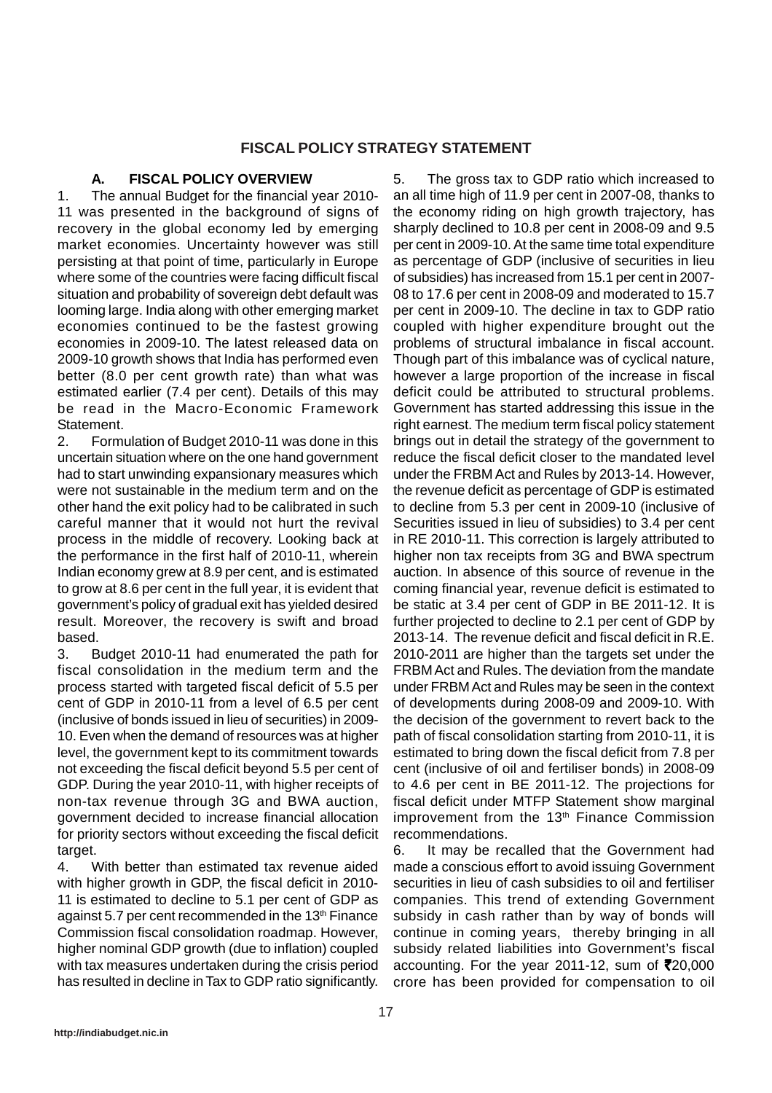# **FISCAL POLICY STRATEGY STATEMENT**

### **A. FISCAL POLICY OVERVIEW**

1. The annual Budget for the financial year 2010- 11 was presented in the background of signs of recovery in the global economy led by emerging market economies. Uncertainty however was still persisting at that point of time, particularly in Europe where some of the countries were facing difficult fiscal situation and probability of sovereign debt default was looming large. India along with other emerging market economies continued to be the fastest growing economies in 2009-10. The latest released data on 2009-10 growth shows that India has performed even better (8.0 per cent growth rate) than what was estimated earlier (7.4 per cent). Details of this may be read in the Macro-Economic Framework Statement.

2. Formulation of Budget 2010-11 was done in this uncertain situation where on the one hand government had to start unwinding expansionary measures which were not sustainable in the medium term and on the other hand the exit policy had to be calibrated in such careful manner that it would not hurt the revival process in the middle of recovery. Looking back at the performance in the first half of 2010-11, wherein Indian economy grew at 8.9 per cent, and is estimated to grow at 8.6 per cent in the full year, it is evident that government's policy of gradual exit has yielded desired result. Moreover, the recovery is swift and broad based.

3. Budget 2010-11 had enumerated the path for fiscal consolidation in the medium term and the process started with targeted fiscal deficit of 5.5 per cent of GDP in 2010-11 from a level of 6.5 per cent (inclusive of bonds issued in lieu of securities) in 2009- 10. Even when the demand of resources was at higher level, the government kept to its commitment towards not exceeding the fiscal deficit beyond 5.5 per cent of GDP. During the year 2010-11, with higher receipts of non-tax revenue through 3G and BWA auction, government decided to increase financial allocation for priority sectors without exceeding the fiscal deficit target.

4. With better than estimated tax revenue aided with higher growth in GDP, the fiscal deficit in 2010- 11 is estimated to decline to 5.1 per cent of GDP as against 5.7 per cent recommended in the 13<sup>th</sup> Finance Commission fiscal consolidation roadmap. However, higher nominal GDP growth (due to inflation) coupled with tax measures undertaken during the crisis period has resulted in decline in Tax to GDP ratio significantly.

5. The gross tax to GDP ratio which increased to an all time high of 11.9 per cent in 2007-08, thanks to the economy riding on high growth trajectory, has sharply declined to 10.8 per cent in 2008-09 and 9.5 per cent in 2009-10. At the same time total expenditure as percentage of GDP (inclusive of securities in lieu of subsidies) has increased from 15.1 per cent in 2007- 08 to 17.6 per cent in 2008-09 and moderated to 15.7 per cent in 2009-10. The decline in tax to GDP ratio coupled with higher expenditure brought out the problems of structural imbalance in fiscal account. Though part of this imbalance was of cyclical nature, however a large proportion of the increase in fiscal deficit could be attributed to structural problems. Government has started addressing this issue in the right earnest. The medium term fiscal policy statement brings out in detail the strategy of the government to reduce the fiscal deficit closer to the mandated level under the FRBM Act and Rules by 2013-14. However, the revenue deficit as percentage of GDP is estimated to decline from 5.3 per cent in 2009-10 (inclusive of Securities issued in lieu of subsidies) to 3.4 per cent in RE 2010-11. This correction is largely attributed to higher non tax receipts from 3G and BWA spectrum auction. In absence of this source of revenue in the coming financial year, revenue deficit is estimated to be static at 3.4 per cent of GDP in BE 2011-12. It is further projected to decline to 2.1 per cent of GDP by 2013-14. The revenue deficit and fiscal deficit in R.E. 2010-2011 are higher than the targets set under the FRBM Act and Rules. The deviation from the mandate under FRBM Act and Rules may be seen in the context of developments during 2008-09 and 2009-10. With the decision of the government to revert back to the path of fiscal consolidation starting from 2010-11, it is estimated to bring down the fiscal deficit from 7.8 per cent (inclusive of oil and fertiliser bonds) in 2008-09 to 4.6 per cent in BE 2011-12. The projections for fiscal deficit under MTFP Statement show marginal improvement from the 13<sup>th</sup> Finance Commission recommendations.

6. It may be recalled that the Government had made a conscious effort to avoid issuing Government securities in lieu of cash subsidies to oil and fertiliser companies. This trend of extending Government subsidy in cash rather than by way of bonds will continue in coming years, thereby bringing in all subsidy related liabilities into Government's fiscal accounting. For the year 2011-12, sum of  $\bar{\mathbf{z}}$ 20,000 crore has been provided for compensation to oil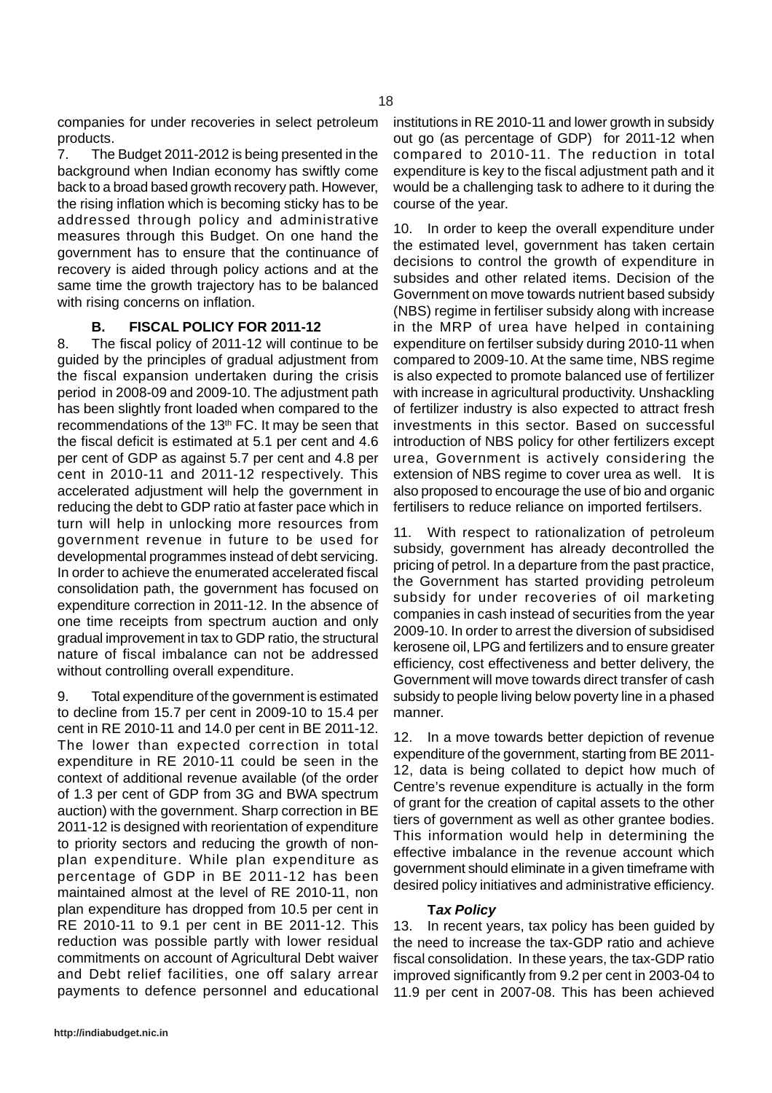companies for under recoveries in select petroleum products.

7. The Budget 2011-2012 is being presented in the background when Indian economy has swiftly come back to a broad based growth recovery path. However, the rising inflation which is becoming sticky has to be addressed through policy and administrative measures through this Budget. On one hand the government has to ensure that the continuance of recovery is aided through policy actions and at the same time the growth trajectory has to be balanced with rising concerns on inflation.

## **B. FISCAL POLICY FOR 2011-12**

8. The fiscal policy of 2011-12 will continue to be guided by the principles of gradual adjustment from the fiscal expansion undertaken during the crisis period in 2008-09 and 2009-10. The adjustment path has been slightly front loaded when compared to the recommendations of the 13th FC. It may be seen that the fiscal deficit is estimated at 5.1 per cent and 4.6 per cent of GDP as against 5.7 per cent and 4.8 per cent in 2010-11 and 2011-12 respectively. This accelerated adjustment will help the government in reducing the debt to GDP ratio at faster pace which in turn will help in unlocking more resources from government revenue in future to be used for developmental programmes instead of debt servicing. In order to achieve the enumerated accelerated fiscal consolidation path, the government has focused on expenditure correction in 2011-12. In the absence of one time receipts from spectrum auction and only gradual improvement in tax to GDP ratio, the structural nature of fiscal imbalance can not be addressed without controlling overall expenditure.

9. Total expenditure of the government is estimated to decline from 15.7 per cent in 2009-10 to 15.4 per cent in RE 2010-11 and 14.0 per cent in BE 2011-12. The lower than expected correction in total expenditure in RE 2010-11 could be seen in the context of additional revenue available (of the order of 1.3 per cent of GDP from 3G and BWA spectrum auction) with the government. Sharp correction in BE 2011-12 is designed with reorientation of expenditure to priority sectors and reducing the growth of nonplan expenditure. While plan expenditure as percentage of GDP in BE 2011-12 has been maintained almost at the level of RE 2010-11, non plan expenditure has dropped from 10.5 per cent in RE 2010-11 to 9.1 per cent in BE 2011-12. This reduction was possible partly with lower residual commitments on account of Agricultural Debt waiver and Debt relief facilities, one off salary arrear payments to defence personnel and educational

institutions in RE 2010-11 and lower growth in subsidy out go (as percentage of GDP) for 2011-12 when compared to 2010-11. The reduction in total expenditure is key to the fiscal adjustment path and it would be a challenging task to adhere to it during the course of the year.

10. In order to keep the overall expenditure under the estimated level, government has taken certain decisions to control the growth of expenditure in subsides and other related items. Decision of the Government on move towards nutrient based subsidy (NBS) regime in fertiliser subsidy along with increase in the MRP of urea have helped in containing expenditure on fertilser subsidy during 2010-11 when compared to 2009-10. At the same time, NBS regime is also expected to promote balanced use of fertilizer with increase in agricultural productivity. Unshackling of fertilizer industry is also expected to attract fresh investments in this sector. Based on successful introduction of NBS policy for other fertilizers except urea, Government is actively considering the extension of NBS regime to cover urea as well. It is also proposed to encourage the use of bio and organic fertilisers to reduce reliance on imported fertilsers.

11. With respect to rationalization of petroleum subsidy, government has already decontrolled the pricing of petrol. In a departure from the past practice, the Government has started providing petroleum subsidy for under recoveries of oil marketing companies in cash instead of securities from the year 2009-10. In order to arrest the diversion of subsidised kerosene oil, LPG and fertilizers and to ensure greater efficiency, cost effectiveness and better delivery, the Government will move towards direct transfer of cash subsidy to people living below poverty line in a phased manner.

12. In a move towards better depiction of revenue expenditure of the government, starting from BE 2011- 12, data is being collated to depict how much of Centre's revenue expenditure is actually in the form of grant for the creation of capital assets to the other tiers of government as well as other grantee bodies. This information would help in determining the effective imbalance in the revenue account which government should eliminate in a given timeframe with desired policy initiatives and administrative efficiency.

#### **T***ax Policy*

13. In recent years, tax policy has been guided by the need to increase the tax-GDP ratio and achieve fiscal consolidation. In these years, the tax-GDP ratio improved significantly from 9.2 per cent in 2003-04 to 11.9 per cent in 2007-08. This has been achieved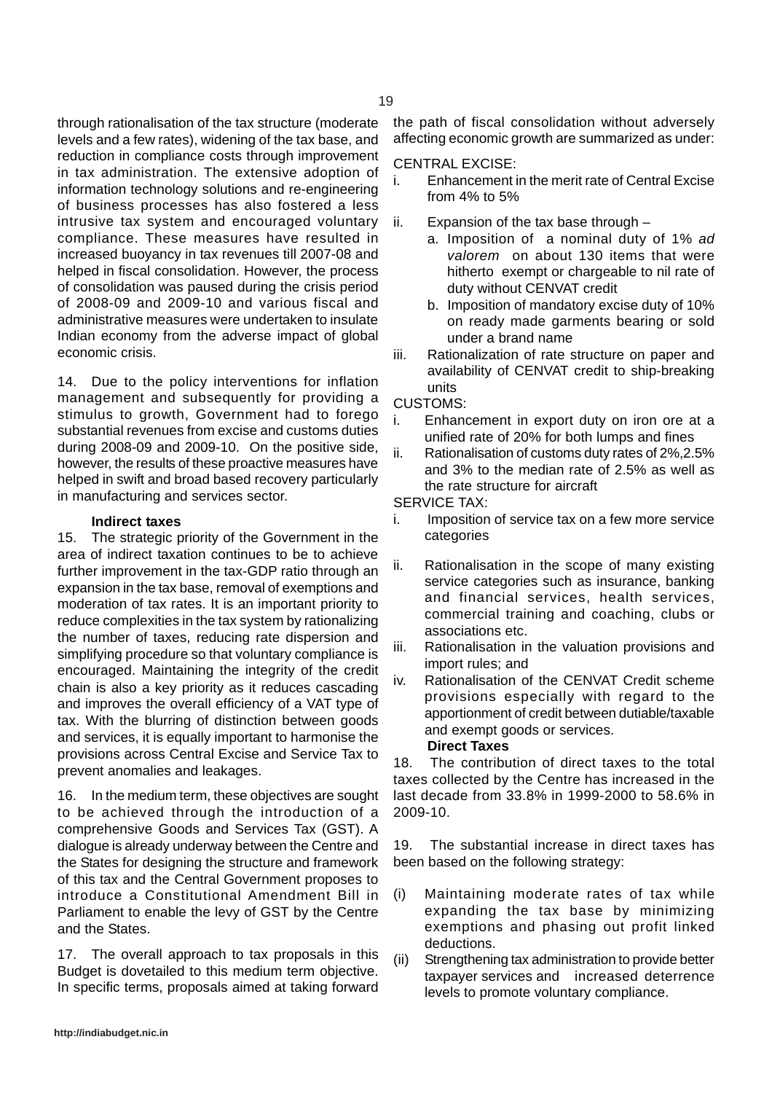through rationalisation of the tax structure (moderate levels and a few rates), widening of the tax base, and reduction in compliance costs through improvement in tax administration. The extensive adoption of information technology solutions and re-engineering of business processes has also fostered a less intrusive tax system and encouraged voluntary compliance. These measures have resulted in increased buoyancy in tax revenues till 2007-08 and helped in fiscal consolidation. However, the process of consolidation was paused during the crisis period of 2008-09 and 2009-10 and various fiscal and administrative measures were undertaken to insulate Indian economy from the adverse impact of global economic crisis.

14. Due to the policy interventions for inflation management and subsequently for providing a stimulus to growth, Government had to forego substantial revenues from excise and customs duties during 2008-09 and 2009-10. On the positive side, however, the results of these proactive measures have helped in swift and broad based recovery particularly in manufacturing and services sector.

### **Indirect taxes**

15. The strategic priority of the Government in the area of indirect taxation continues to be to achieve further improvement in the tax-GDP ratio through an expansion in the tax base, removal of exemptions and moderation of tax rates. It is an important priority to reduce complexities in the tax system by rationalizing the number of taxes, reducing rate dispersion and simplifying procedure so that voluntary compliance is encouraged. Maintaining the integrity of the credit chain is also a key priority as it reduces cascading and improves the overall efficiency of a VAT type of tax. With the blurring of distinction between goods and services, it is equally important to harmonise the provisions across Central Excise and Service Tax to prevent anomalies and leakages.

16. In the medium term, these objectives are sought to be achieved through the introduction of a comprehensive Goods and Services Tax (GST). A dialogue is already underway between the Centre and the States for designing the structure and framework of this tax and the Central Government proposes to introduce a Constitutional Amendment Bill in Parliament to enable the levy of GST by the Centre and the States.

17. The overall approach to tax proposals in this Budget is dovetailed to this medium term objective. In specific terms, proposals aimed at taking forward

the path of fiscal consolidation without adversely affecting economic growth are summarized as under:

#### CENTRAL EXCISE:

- i. Enhancement in the merit rate of Central Excise from 4% to 5%
- ii. Expansion of the tax base through
	- a. Imposition of a nominal duty of 1% *ad valorem* on about 130 items that were hitherto exempt or chargeable to nil rate of duty without CENVAT credit
	- b. Imposition of mandatory excise duty of 10% on ready made garments bearing or sold under a brand name

iii. Rationalization of rate structure on paper and availability of CENVAT credit to ship-breaking units

CUSTOMS:

- i. Enhancement in export duty on iron ore at a unified rate of 20% for both lumps and fines
- ii. Rationalisation of customs duty rates of 2%,2.5% and 3% to the median rate of 2.5% as well as the rate structure for aircraft

SERVICE TAX:

- i. Imposition of service tax on a few more service categories
- ii. Rationalisation in the scope of many existing service categories such as insurance, banking and financial services, health services, commercial training and coaching, clubs or associations etc.
- iii. Rationalisation in the valuation provisions and import rules; and
- iv. Rationalisation of the CENVAT Credit scheme provisions especially with regard to the apportionment of credit between dutiable/taxable and exempt goods or services.

## **Direct Taxes**

18. The contribution of direct taxes to the total taxes collected by the Centre has increased in the last decade from 33.8% in 1999-2000 to 58.6% in 2009-10.

19. The substantial increase in direct taxes has been based on the following strategy:

- (i) Maintaining moderate rates of tax while expanding the tax base by minimizing exemptions and phasing out profit linked deductions.
- (ii) Strengthening tax administration to provide better taxpayer services and increased deterrence levels to promote voluntary compliance.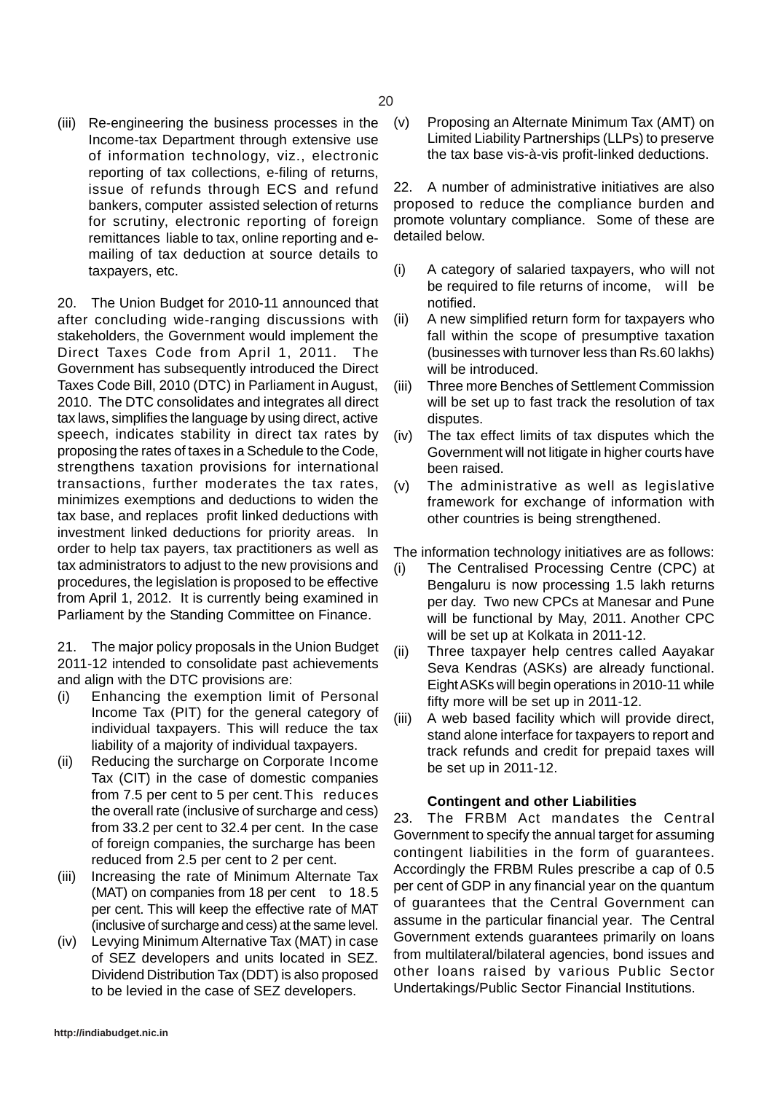(iii) Re-engineering the business processes in the Income-tax Department through extensive use of information technology, viz., electronic reporting of tax collections, e-filing of returns, issue of refunds through ECS and refund bankers, computer assisted selection of returns for scrutiny, electronic reporting of foreign remittances liable to tax, online reporting and emailing of tax deduction at source details to taxpayers, etc.

20. The Union Budget for 2010-11 announced that after concluding wide-ranging discussions with stakeholders, the Government would implement the Direct Taxes Code from April 1, 2011. The Government has subsequently introduced the Direct Taxes Code Bill, 2010 (DTC) in Parliament in August, 2010. The DTC consolidates and integrates all direct tax laws, simplifies the language by using direct, active speech, indicates stability in direct tax rates by proposing the rates of taxes in a Schedule to the Code, strengthens taxation provisions for international transactions, further moderates the tax rates, minimizes exemptions and deductions to widen the tax base, and replaces profit linked deductions with investment linked deductions for priority areas. In order to help tax payers, tax practitioners as well as tax administrators to adjust to the new provisions and procedures, the legislation is proposed to be effective from April 1, 2012. It is currently being examined in Parliament by the Standing Committee on Finance.

21. The major policy proposals in the Union Budget 2011-12 intended to consolidate past achievements and align with the DTC provisions are:

- (i) Enhancing the exemption limit of Personal Income Tax (PIT) for the general category of individual taxpayers. This will reduce the tax liability of a majority of individual taxpayers.
- (ii) Reducing the surcharge on Corporate Income Tax (CIT) in the case of domestic companies from 7.5 per cent to 5 per cent.This reduces the overall rate (inclusive of surcharge and cess) from 33.2 per cent to 32.4 per cent. In the case of foreign companies, the surcharge has been reduced from 2.5 per cent to 2 per cent.
- (iii) Increasing the rate of Minimum Alternate Tax (MAT) on companies from 18 per cent to 18.5 per cent. This will keep the effective rate of MAT (inclusive of surcharge and cess) at the same level.
- (iv) Levying Minimum Alternative Tax (MAT) in case of SEZ developers and units located in SEZ. Dividend Distribution Tax (DDT) is also proposed to be levied in the case of SEZ developers.

(v) Proposing an Alternate Minimum Tax (AMT) on Limited Liability Partnerships (LLPs) to preserve the tax base vis-à-vis profit-linked deductions.

22. A number of administrative initiatives are also proposed to reduce the compliance burden and promote voluntary compliance. Some of these are detailed below.

- (i) A category of salaried taxpayers, who will not be required to file returns of income, will be notified.
- (ii) A new simplified return form for taxpayers who fall within the scope of presumptive taxation (businesses with turnover less than Rs.60 lakhs) will be introduced.
- (iii) Three more Benches of Settlement Commission will be set up to fast track the resolution of tax disputes.
- (iv) The tax effect limits of tax disputes which the Government will not litigate in higher courts have been raised.
- (v) The administrative as well as legislative framework for exchange of information with other countries is being strengthened.

The information technology initiatives are as follows:

- (i) The Centralised Processing Centre (CPC) at Bengaluru is now processing 1.5 lakh returns per day. Two new CPCs at Manesar and Pune will be functional by May, 2011. Another CPC will be set up at Kolkata in 2011-12.
- (ii) Three taxpayer help centres called Aayakar Seva Kendras (ASKs) are already functional. Eight ASKs will begin operations in 2010-11 while fifty more will be set up in 2011-12.
- (iii) A web based facility which will provide direct, stand alone interface for taxpayers to report and track refunds and credit for prepaid taxes will be set up in 2011-12.

# **Contingent and other Liabilities**

23. The FRBM Act mandates the Central Government to specify the annual target for assuming contingent liabilities in the form of guarantees. Accordingly the FRBM Rules prescribe a cap of 0.5 per cent of GDP in any financial year on the quantum of guarantees that the Central Government can assume in the particular financial year. The Central Government extends guarantees primarily on loans from multilateral/bilateral agencies, bond issues and other loans raised by various Public Sector Undertakings/Public Sector Financial Institutions.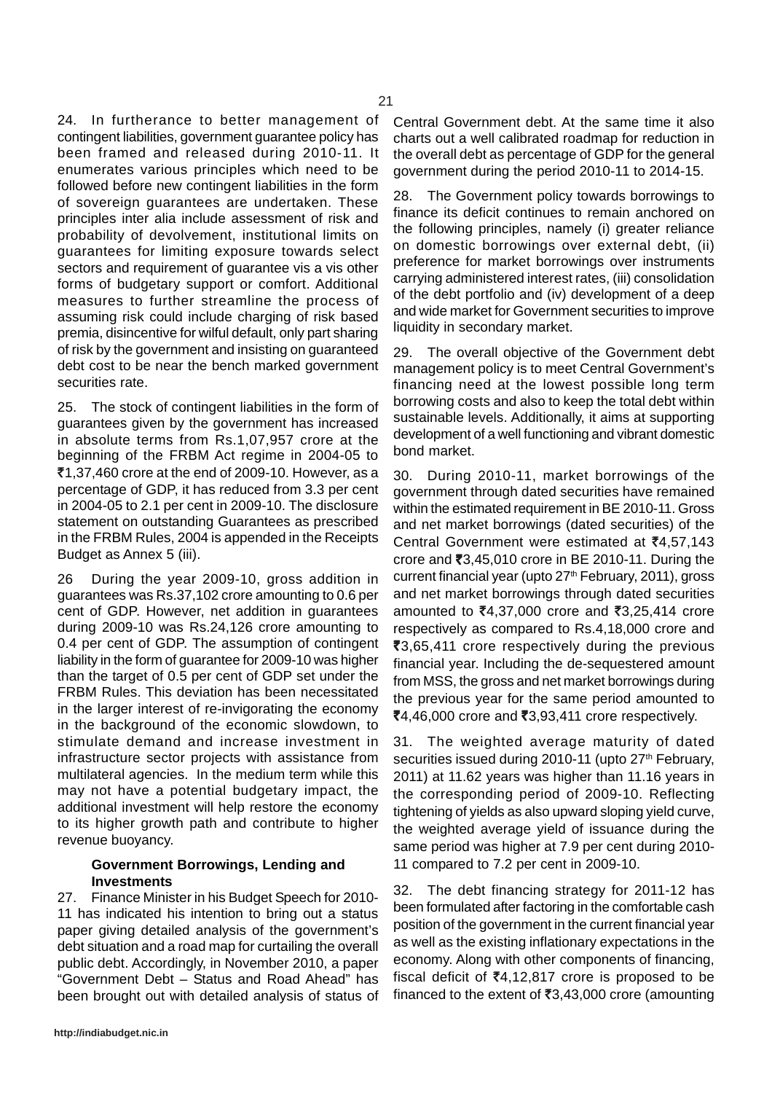24. In furtherance to better management of contingent liabilities, government guarantee policy has been framed and released during 2010-11. It enumerates various principles which need to be followed before new contingent liabilities in the form of sovereign guarantees are undertaken. These principles inter alia include assessment of risk and probability of devolvement, institutional limits on guarantees for limiting exposure towards select sectors and requirement of guarantee vis a vis other forms of budgetary support or comfort. Additional measures to further streamline the process of assuming risk could include charging of risk based premia, disincentive for wilful default, only part sharing of risk by the government and insisting on guaranteed debt cost to be near the bench marked government securities rate.

25. The stock of contingent liabilities in the form of guarantees given by the government has increased in absolute terms from Rs.1,07,957 crore at the beginning of the FRBM Act regime in 2004-05 to  $\overline{5}1,37,460$  crore at the end of 2009-10. However, as a percentage of GDP, it has reduced from 3.3 per cent in 2004-05 to 2.1 per cent in 2009-10. The disclosure statement on outstanding Guarantees as prescribed in the FRBM Rules, 2004 is appended in the Receipts Budget as Annex 5 (iii).

26 During the year 2009-10, gross addition in guarantees was Rs.37,102 crore amounting to 0.6 per cent of GDP. However, net addition in guarantees during 2009-10 was Rs.24,126 crore amounting to 0.4 per cent of GDP. The assumption of contingent liability in the form of guarantee for 2009-10 was higher than the target of 0.5 per cent of GDP set under the FRBM Rules. This deviation has been necessitated in the larger interest of re-invigorating the economy in the background of the economic slowdown, to stimulate demand and increase investment in infrastructure sector projects with assistance from multilateral agencies. In the medium term while this may not have a potential budgetary impact, the additional investment will help restore the economy to its higher growth path and contribute to higher revenue buoyancy.

### **Government Borrowings, Lending and Investments**

27. Finance Minister in his Budget Speech for 2010- 11 has indicated his intention to bring out a status paper giving detailed analysis of the government's debt situation and a road map for curtailing the overall public debt. Accordingly, in November 2010, a paper "Government Debt – Status and Road Ahead" has been brought out with detailed analysis of status of Central Government debt. At the same time it also charts out a well calibrated roadmap for reduction in the overall debt as percentage of GDP for the general government during the period 2010-11 to 2014-15.

28. The Government policy towards borrowings to finance its deficit continues to remain anchored on the following principles, namely (i) greater reliance on domestic borrowings over external debt, (ii) preference for market borrowings over instruments carrying administered interest rates, (iii) consolidation of the debt portfolio and (iv) development of a deep and wide market for Government securities to improve liquidity in secondary market.

29. The overall objective of the Government debt management policy is to meet Central Government's financing need at the lowest possible long term borrowing costs and also to keep the total debt within sustainable levels. Additionally, it aims at supporting development of a well functioning and vibrant domestic bond market.

30. During 2010-11, market borrowings of the government through dated securities have remained within the estimated requirement in BE 2010-11. Gross and net market borrowings (dated securities) of the Central Government were estimated at  $\bar{z}$ 4,57,143 crore and  $\overline{3}3,45,010$  crore in BE 2010-11. During the current financial year (upto 27<sup>th</sup> February, 2011), gross and net market borrowings through dated securities amounted to ₹4,37,000 crore and ₹3,25,414 crore respectively as compared to Rs.4,18,000 crore and  $\overline{\mathfrak{e}}3,65,411$  crore respectively during the previous financial year. Including the de-sequestered amount from MSS, the gross and net market borrowings during the previous year for the same period amounted to ₹4,46,000 crore and ₹3,93,411 crore respectively.

31. The weighted average maturity of dated securities issued during 2010-11 (upto 27<sup>th</sup> February, 2011) at 11.62 years was higher than 11.16 years in the corresponding period of 2009-10. Reflecting tightening of yields as also upward sloping yield curve, the weighted average yield of issuance during the same period was higher at 7.9 per cent during 2010- 11 compared to 7.2 per cent in 2009-10.

32. The debt financing strategy for 2011-12 has been formulated after factoring in the comfortable cash position of the government in the current financial year as well as the existing inflationary expectations in the economy. Along with other components of financing, fiscal deficit of  $\bar{z}4,12,817$  crore is proposed to be financed to the extent of  $\bar{z}3,43,000$  crore (amounting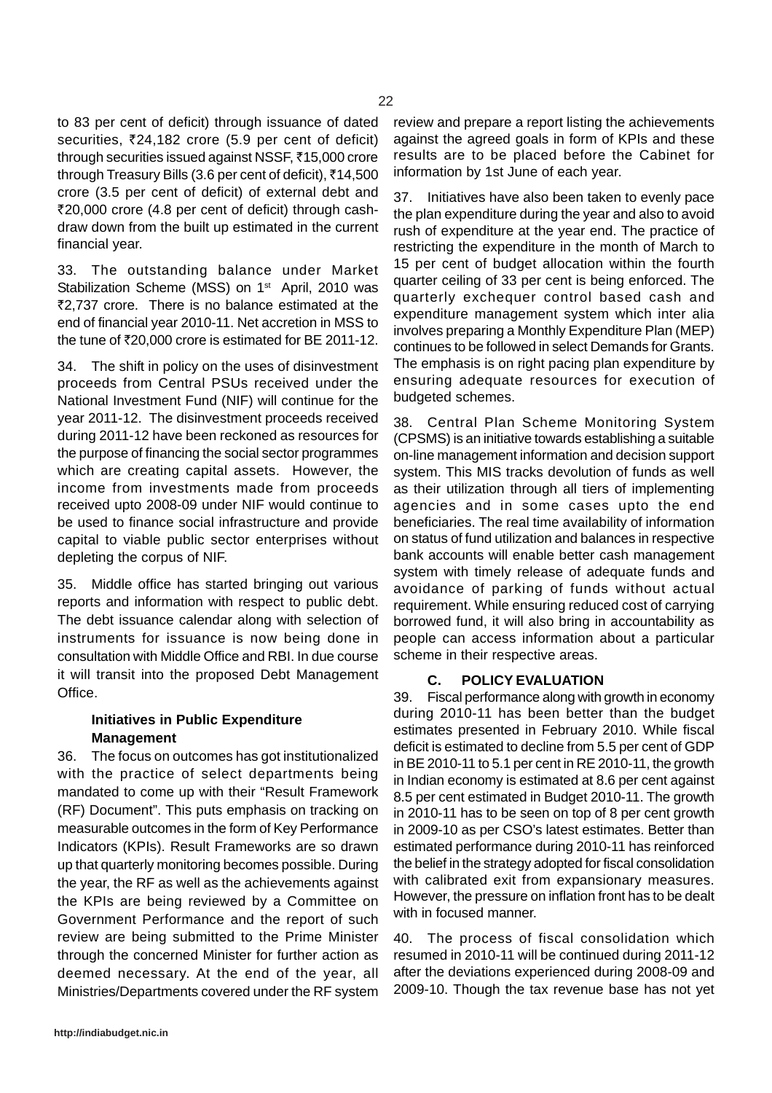to 83 per cent of deficit) through issuance of dated securities, ₹24,182 crore (5.9 per cent of deficit) through securities issued against NSSF, ₹15,000 crore through Treasury Bills (3.6 per cent of deficit),  $\bar{\tau}$ 14,500 crore (3.5 per cent of deficit) of external debt and `20,000 crore (4.8 per cent of deficit) through cashdraw down from the built up estimated in the current financial year.

33. The outstanding balance under Market Stabilization Scheme (MSS) on 1<sup>st</sup> April, 2010 was ₹2,737 crore. There is no balance estimated at the end of financial year 2010-11. Net accretion in MSS to the tune of  $\overline{5}20.000$  crore is estimated for BE 2011-12.

34. The shift in policy on the uses of disinvestment proceeds from Central PSUs received under the National Investment Fund (NIF) will continue for the year 2011-12. The disinvestment proceeds received during 2011-12 have been reckoned as resources for the purpose of financing the social sector programmes which are creating capital assets. However, the income from investments made from proceeds received upto 2008-09 under NIF would continue to be used to finance social infrastructure and provide capital to viable public sector enterprises without depleting the corpus of NIF.

35. Middle office has started bringing out various reports and information with respect to public debt. The debt issuance calendar along with selection of instruments for issuance is now being done in consultation with Middle Office and RBI. In due course it will transit into the proposed Debt Management Office.

# **Initiatives in Public Expenditure Management**

36. The focus on outcomes has got institutionalized with the practice of select departments being mandated to come up with their "Result Framework (RF) Document". This puts emphasis on tracking on measurable outcomes in the form of Key Performance Indicators (KPIs). Result Frameworks are so drawn up that quarterly monitoring becomes possible. During the year, the RF as well as the achievements against the KPIs are being reviewed by a Committee on Government Performance and the report of such review are being submitted to the Prime Minister through the concerned Minister for further action as deemed necessary. At the end of the year, all Ministries/Departments covered under the RF system

37. Initiatives have also been taken to evenly pace the plan expenditure during the year and also to avoid rush of expenditure at the year end. The practice of restricting the expenditure in the month of March to 15 per cent of budget allocation within the fourth quarter ceiling of 33 per cent is being enforced. The quarterly exchequer control based cash and expenditure management system which inter alia involves preparing a Monthly Expenditure Plan (MEP) continues to be followed in select Demands for Grants. The emphasis is on right pacing plan expenditure by ensuring adequate resources for execution of budgeted schemes.

38. Central Plan Scheme Monitoring System (CPSMS) is an initiative towards establishing a suitable on-line management information and decision support system. This MIS tracks devolution of funds as well as their utilization through all tiers of implementing agencies and in some cases upto the end beneficiaries. The real time availability of information on status of fund utilization and balances in respective bank accounts will enable better cash management system with timely release of adequate funds and avoidance of parking of funds without actual requirement. While ensuring reduced cost of carrying borrowed fund, it will also bring in accountability as people can access information about a particular scheme in their respective areas.

### **C. POLICY EVALUATION**

39. Fiscal performance along with growth in economy during 2010-11 has been better than the budget estimates presented in February 2010. While fiscal deficit is estimated to decline from 5.5 per cent of GDP in BE 2010-11 to 5.1 per cent in RE 2010-11, the growth in Indian economy is estimated at 8.6 per cent against 8.5 per cent estimated in Budget 2010-11. The growth in 2010-11 has to be seen on top of 8 per cent growth in 2009-10 as per CSO's latest estimates. Better than estimated performance during 2010-11 has reinforced the belief in the strategy adopted for fiscal consolidation with calibrated exit from expansionary measures. However, the pressure on inflation front has to be dealt with in focused manner.

40. The process of fiscal consolidation which resumed in 2010-11 will be continued during 2011-12 after the deviations experienced during 2008-09 and 2009-10. Though the tax revenue base has not yet